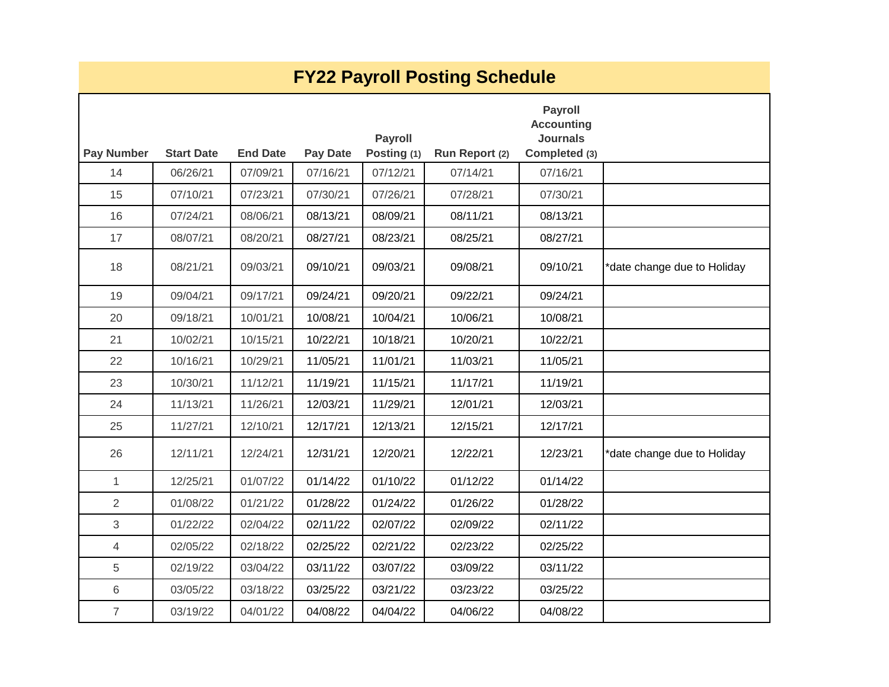| <b>FY22 Payroll Posting Schedule</b> |                   |                 |          |                               |                |                                                                         |                             |  |  |  |  |
|--------------------------------------|-------------------|-----------------|----------|-------------------------------|----------------|-------------------------------------------------------------------------|-----------------------------|--|--|--|--|
| <b>Pay Number</b>                    | <b>Start Date</b> | <b>End Date</b> | Pay Date | <b>Payroll</b><br>Posting (1) | Run Report (2) | <b>Payroll</b><br><b>Accounting</b><br><b>Journals</b><br>Completed (3) |                             |  |  |  |  |
| 14                                   | 06/26/21          | 07/09/21        | 07/16/21 | 07/12/21                      | 07/14/21       | 07/16/21                                                                |                             |  |  |  |  |
| 15                                   | 07/10/21          | 07/23/21        | 07/30/21 | 07/26/21                      | 07/28/21       | 07/30/21                                                                |                             |  |  |  |  |
| 16                                   | 07/24/21          | 08/06/21        | 08/13/21 | 08/09/21                      | 08/11/21       | 08/13/21                                                                |                             |  |  |  |  |
| 17                                   | 08/07/21          | 08/20/21        | 08/27/21 | 08/23/21                      | 08/25/21       | 08/27/21                                                                |                             |  |  |  |  |
| 18                                   | 08/21/21          | 09/03/21        | 09/10/21 | 09/03/21                      | 09/08/21       | 09/10/21                                                                | *date change due to Holiday |  |  |  |  |
| 19                                   | 09/04/21          | 09/17/21        | 09/24/21 | 09/20/21                      | 09/22/21       | 09/24/21                                                                |                             |  |  |  |  |
| 20                                   | 09/18/21          | 10/01/21        | 10/08/21 | 10/04/21                      | 10/06/21       | 10/08/21                                                                |                             |  |  |  |  |
| 21                                   | 10/02/21          | 10/15/21        | 10/22/21 | 10/18/21                      | 10/20/21       | 10/22/21                                                                |                             |  |  |  |  |
| 22                                   | 10/16/21          | 10/29/21        | 11/05/21 | 11/01/21                      | 11/03/21       | 11/05/21                                                                |                             |  |  |  |  |
| 23                                   | 10/30/21          | 11/12/21        | 11/19/21 | 11/15/21                      | 11/17/21       | 11/19/21                                                                |                             |  |  |  |  |
| 24                                   | 11/13/21          | 11/26/21        | 12/03/21 | 11/29/21                      | 12/01/21       | 12/03/21                                                                |                             |  |  |  |  |
| 25                                   | 11/27/21          | 12/10/21        | 12/17/21 | 12/13/21                      | 12/15/21       | 12/17/21                                                                |                             |  |  |  |  |
| 26                                   | 12/11/21          | 12/24/21        | 12/31/21 | 12/20/21                      | 12/22/21       | 12/23/21                                                                | *date change due to Holiday |  |  |  |  |
| $\mathbf{1}$                         | 12/25/21          | 01/07/22        | 01/14/22 | 01/10/22                      | 01/12/22       | 01/14/22                                                                |                             |  |  |  |  |
| $\overline{2}$                       | 01/08/22          | 01/21/22        | 01/28/22 | 01/24/22                      | 01/26/22       | 01/28/22                                                                |                             |  |  |  |  |
| 3                                    | 01/22/22          | 02/04/22        | 02/11/22 | 02/07/22                      | 02/09/22       | 02/11/22                                                                |                             |  |  |  |  |
| 4                                    | 02/05/22          | 02/18/22        | 02/25/22 | 02/21/22                      | 02/23/22       | 02/25/22                                                                |                             |  |  |  |  |
| 5                                    | 02/19/22          | 03/04/22        | 03/11/22 | 03/07/22                      | 03/09/22       | 03/11/22                                                                |                             |  |  |  |  |
| 6                                    | 03/05/22          | 03/18/22        | 03/25/22 | 03/21/22                      | 03/23/22       | 03/25/22                                                                |                             |  |  |  |  |
| $\overline{7}$                       | 03/19/22          | 04/01/22        | 04/08/22 | 04/04/22                      | 04/06/22       | 04/08/22                                                                |                             |  |  |  |  |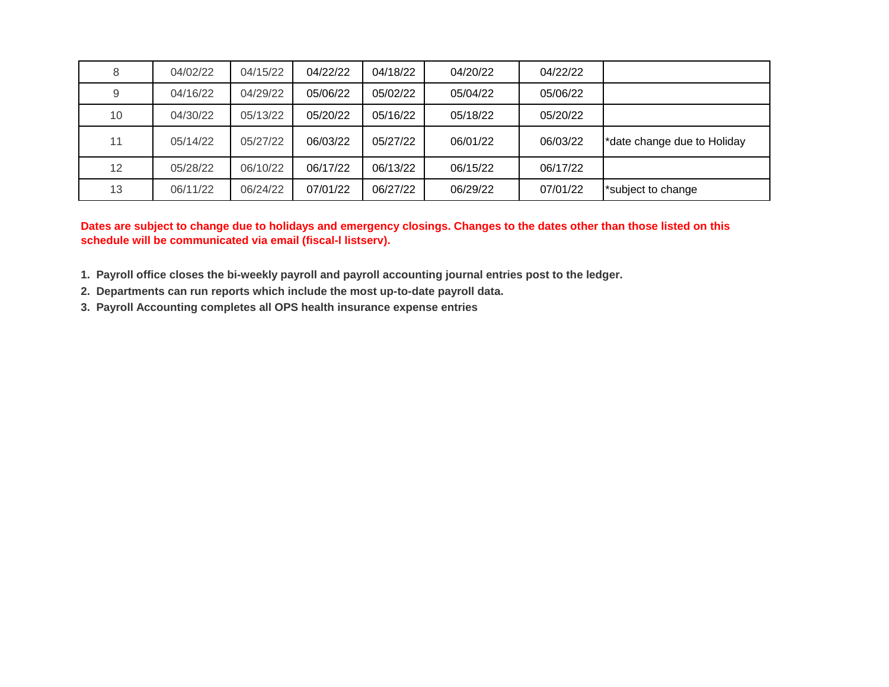| 8  | 04/02/22 | 04/15/22 | 04/22/22 | 04/18/22 | 04/20/22 | 04/22/22 |                             |
|----|----------|----------|----------|----------|----------|----------|-----------------------------|
| 9  | 04/16/22 | 04/29/22 | 05/06/22 | 05/02/22 | 05/04/22 | 05/06/22 |                             |
| 10 | 04/30/22 | 05/13/22 | 05/20/22 | 05/16/22 | 05/18/22 | 05/20/22 |                             |
| 11 | 05/14/22 | 05/27/22 | 06/03/22 | 05/27/22 | 06/01/22 | 06/03/22 | *date change due to Holiday |
| 12 | 05/28/22 | 06/10/22 | 06/17/22 | 06/13/22 | 06/15/22 | 06/17/22 |                             |
| 13 | 06/11/22 | 06/24/22 | 07/01/22 | 06/27/22 | 06/29/22 | 07/01/22 | subject to change           |

**Dates are subject to change due to holidays and emergency closings. Changes to the dates other than those listed on this schedule will be communicated via email (fiscal-l listserv).**

- **1. Payroll office closes the bi-weekly payroll and payroll accounting journal entries post to the ledger.**
- **2. Departments can run reports which include the most up-to-date payroll data.**
- **3. Payroll Accounting completes all OPS health insurance expense entries**